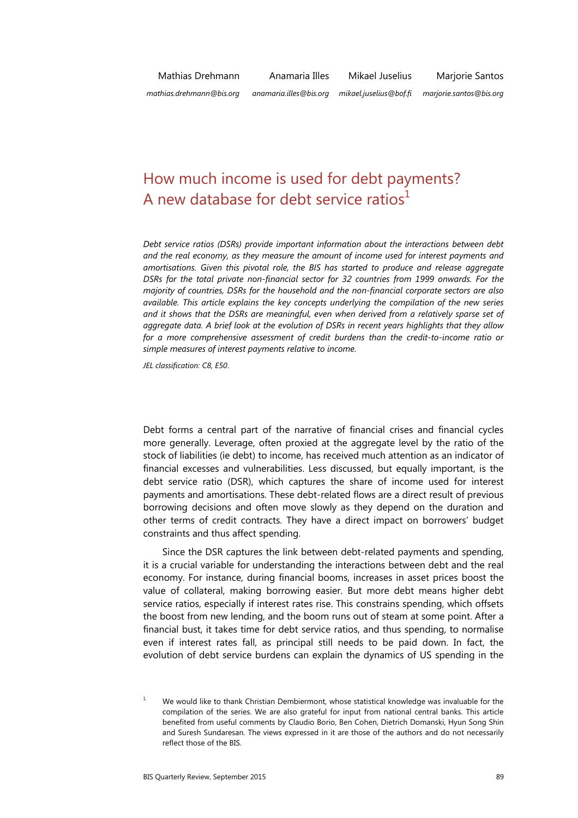# <span id="page-0-1"></span>How much income is used for debt payments? A new database for debt service ratios<sup>[1](#page-0-0)</sup>

*Debt service ratios (DSRs) provide important information about the interactions between debt and the real economy, as they measure the amount of income used for interest payments and amortisations. Given this pivotal role, the BIS has started to produce and release aggregate DSRs for the total private non-financial sector for 32 countries from 1999 onwards. For the majority of countries, DSRs for the household and the non-financial corporate sectors are also available. This article explains the key concepts underlying the compilation of the new series and it shows that the DSRs are meaningful, even when derived from a relatively sparse set of aggregate data. A brief look at the evolution of DSRs in recent years highlights that they allow for a more comprehensive assessment of credit burdens than the credit-to-income ratio or simple measures of interest payments relative to income.* 

*JEL classification: C8, E50*.

Debt forms a central part of the narrative of financial crises and financial cycles more generally. Leverage, often proxied at the aggregate level by the ratio of the stock of liabilities (ie debt) to income, has received much attention as an indicator of financial excesses and vulnerabilities. Less discussed, but equally important, is the debt service ratio (DSR), which captures the share of income used for interest payments and amortisations. These debt-related flows are a direct result of previous borrowing decisions and often move slowly as they depend on the duration and other terms of credit contracts. They have a direct impact on borrowers' budget constraints and thus affect spending.

Since the DSR captures the link between debt-related payments and spending, it is a crucial variable for understanding the interactions between debt and the real economy. For instance, during financial booms, increases in asset prices boost the value of collateral, making borrowing easier. But more debt means higher debt service ratios, especially if interest rates rise. This constrains spending, which offsets the boost from new lending, and the boom runs out of steam at some point. After a financial bust, it takes time for debt service ratios, and thus spending, to normalise even if interest rates fall, as principal still needs to be paid down. In fact, the evolution of debt service burdens can explain the dynamics of US spending in the

<span id="page-0-0"></span>We would like to thank Christian Dembiermont, whose statistical knowledge was invaluable for the compilation of the series. We are also grateful for input from national central banks. This article benefited from useful comments by Claudio Borio, Ben Cohen, Dietrich Domanski, Hyun Song Shin and Suresh Sundaresan. The views expressed in it are those of the authors and do not necessarily reflect those of the BIS.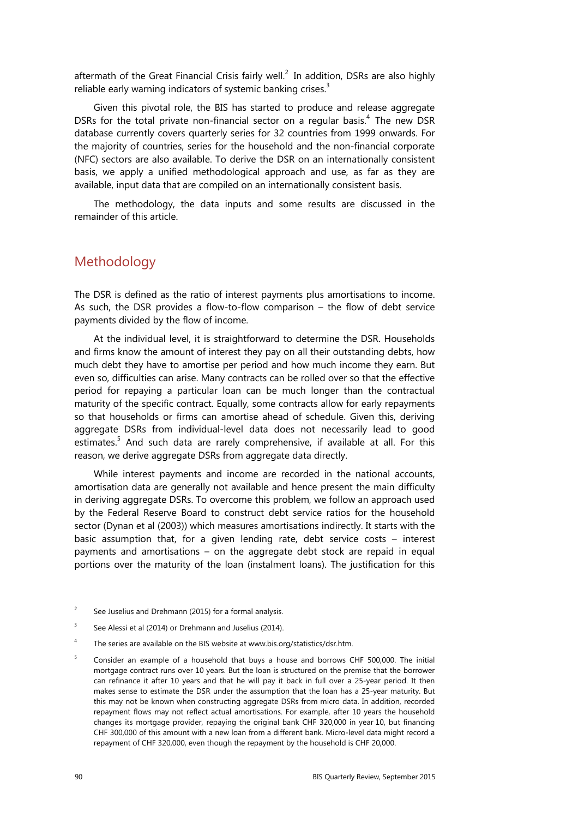<span id="page-1-4"></span>aftermath of the Great Financial Crisis fairly well.<sup>[2](#page-1-3)</sup> In addition, DSRs are also highly reliable early warning indicators of systemic banking crises.<sup>[3](#page-1-2)</sup>

Given this pivotal role, the BIS has started to produce and release aggregate DSRs for the total private non-financial sector on a regular basis.<sup>[4](#page-1-1)</sup> The new DSR database currently covers quarterly series for 32 countries from 1999 onwards. For the majority of countries, series for the household and the non-financial corporate (NFC) sectors are also available. To derive the DSR on an internationally consistent basis, we apply a unified methodological approach and use, as far as they are available, input data that are compiled on an internationally consistent basis.

The methodology, the data inputs and some results are discussed in the remainder of this article.

# Methodology

The DSR is defined as the ratio of interest payments plus amortisations to income. As such, the DSR provides a flow-to-flow comparison – the flow of debt service payments divided by the flow of income.

At the individual level, it is straightforward to determine the DSR. Households and firms know the amount of interest they pay on all their outstanding debts, how much debt they have to amortise per period and how much income they earn. But even so, difficulties can arise. Many contracts can be rolled over so that the effective period for repaying a particular loan can be much longer than the contractual maturity of the specific contract. Equally, some contracts allow for early repayments so that households or firms can amortise ahead of schedule. Given this, deriving aggregate DSRs from individual-level data does not necessarily lead to good estimates.<sup>[5](#page-1-0)</sup> And such data are rarely comprehensive, if available at all. For this reason, we derive aggregate DSRs from aggregate data directly.

While interest payments and income are recorded in the national accounts, amortisation data are generally not available and hence present the main difficulty in deriving aggregate DSRs. To overcome this problem, we follow an approach used by the Federal Reserve Board to construct debt service ratios for the household sector (Dynan et al (2003)) which measures amortisations indirectly. It starts with the basic assumption that, for a given lending rate, debt service costs – interest payments and amortisations – on the aggregate debt stock are repaid in equal portions over the maturity of the loan (instalment loans). The justification for this

<span id="page-1-3"></span><sup>&</sup>lt;sup>2</sup> See Juselius and Drehmann (2015) for a formal analysis.

<span id="page-1-2"></span>See Alessi et al (2014) or Drehmann and Juselius (2014).

<span id="page-1-1"></span><sup>&</sup>lt;sup>4</sup> The series are available on the BIS website at www.bis.org/statistics/dsr.htm.

<span id="page-1-0"></span><sup>5</sup> Consider an example of a household that buys a house and borrows CHF 500,000. The initial mortgage contract runs over 10 years. But the loan is structured on the premise that the borrower can refinance it after 10 years and that he will pay it back in full over a 25-year period. It then makes sense to estimate the DSR under the assumption that the loan has a 25-year maturity. But this may not be known when constructing aggregate DSRs from micro data. In addition, recorded repayment flows may not reflect actual amortisations. For example, after 10 years the household changes its mortgage provider, repaying the original bank CHF 320,000 in year 10, but financing CHF 300,000 of this amount with a new loan from a different bank. Micro-level data might record a repayment of CHF 320,000, even though the repayment by the household is CHF 20,000.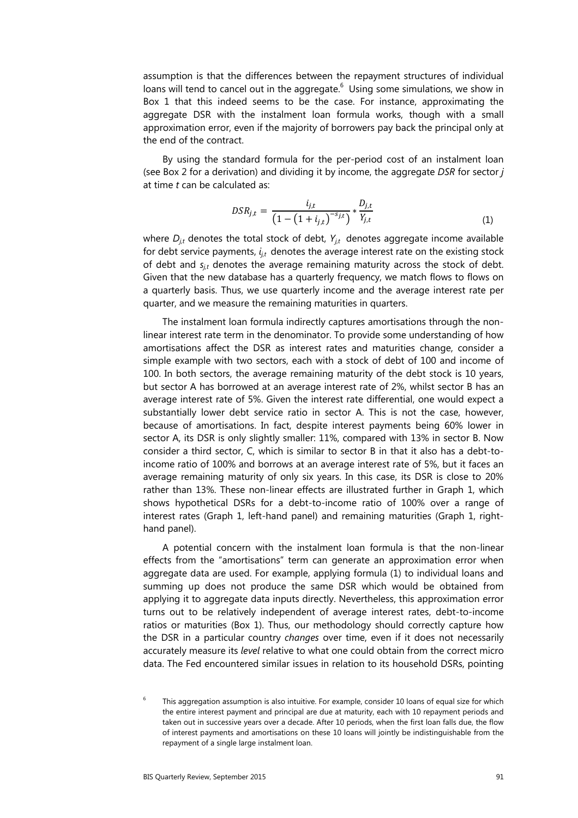<span id="page-2-1"></span>assumption is that the differences between the repayment structures of individual loans will tend to cancel out in the aggregate. $^6$  Using some simulations, we show in Box 1 that this indeed seems to be the case. For instance, approximating the aggregate DSR with the instalment loan formula works, though with a small approximation error, even if the majority of borrowers pay back the principal only at the end of the contract.

By using the standard formula for the per-period cost of an instalment loan (see Box 2 for a derivation) and dividing it by income, the aggregate *DSR* for sector *j*  at time *t* can be calculated as:

$$
DSR_{j,t} = \frac{i_{j,t}}{\left(1 - \left(1 + i_{j,t}\right)^{-s_{j,t}}\right)} * \frac{D_{j,t}}{Y_{j,t}}
$$
(1)

where  $D_{i,t}$  denotes the total stock of debt,  $Y_{i,t}$  denotes aggregate income available for debt service payments,  $i_{it}$  denotes the average interest rate on the existing stock of debt and *s<sub>it</sub>* denotes the average remaining maturity across the stock of debt. Given that the new database has a quarterly frequency, we match flows to flows on a quarterly basis. Thus, we use quarterly income and the average interest rate per quarter, and we measure the remaining maturities in quarters.

The instalment loan formula indirectly captures amortisations through the nonlinear interest rate term in the denominator. To provide some understanding of how amortisations affect the DSR as interest rates and maturities change, consider a simple example with two sectors, each with a stock of debt of [100](#page-11-0) and income of [100.](#page-11-0) In both sectors, the average remaining maturity of the debt stock is 10 years, but sector A has borrowed at an average interest rate of 2%, whilst sector B has an average interest rate of 5%. Given the interest rate differential, one would expect a substantially lower debt service ratio in sector A. This is not the case, however, because of amortisations. In fact, despite interest payments being 60% lower in sector A, its DSR is only slightly smaller: 11%, compared with 13% in sector B. Now consider a third sector, C, which is similar to sector B in that it also has a debt-toincome ratio of [100%](#page-11-0) and borrows at an average interest rate of 5%, but it faces an average remaining maturity of only six years. In this case, its DSR is close to 20% rather than 13%. These non-linear effects are illustrated further in Graph 1, which shows hypothetical DSRs for a debt-to-income ratio of [100](#page-11-0)% over a range of interest rates (Graph 1, left-hand panel) and remaining maturities (Graph 1, righthand panel).

A potential concern with the instalment loan formula is that the non-linear effects from the "amortisations" term can generate an approximation error when aggregate data are used. For example, applying formula (1) to individual loans and summing up does not produce the same DSR which would be obtained from applying it to aggregate data inputs directly. Nevertheless, this approximation error turns out to be relatively independent of average interest rates, debt-to-income ratios or maturities (Box 1). Thus, our methodology should correctly capture how the DSR in a particular country *changes* over time, even if it does not necessarily accurately measure its *level* relative to what one could obtain from the correct micro data. The Fed encountered similar issues in relation to its household DSRs, pointing

<span id="page-2-0"></span>This aggregation assumption is also intuitive. For example, consider 10 loans of equal size for which the entire interest payment and principal are due at maturity, each with 10 repayment periods and taken out in successive years over a decade. After 10 periods, when the first loan falls due, the flow of interest payments and amortisations on these 10 loans will jointly be indistinguishable from the repayment of a single large instalment loan.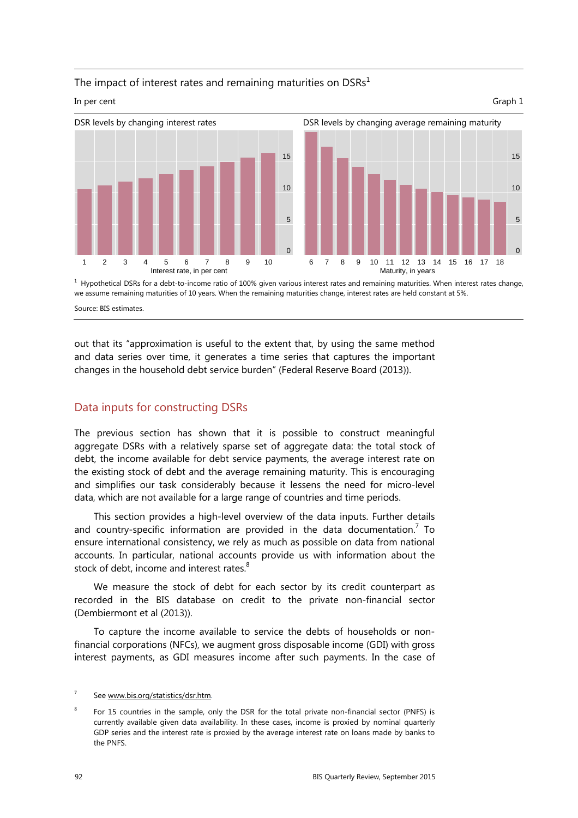

In per cent Graph 1 and Graph 1 and Graph 1 and Graph 1 and Graph 1 and Graph 1 and Graph 1 and Graph 1 and Gra

### <span id="page-3-2"></span>The impact of interest rates and remaining maturities on  $DSRs<sup>1</sup>$

 $<sup>1</sup>$  Hypothetical DSRs for a debt-to-income ratio of [100](#page-11-0)% given various interest rates and remaining maturities. When interest rates change,</sup> we assume remaining maturities of 10 years. When the remaining maturities change, interest rates are held constant at 5%.

Source: BIS estimates.

out that its "approximation is useful to the extent that, by using the same method and data series over time, it generates a time series that captures the important changes in the household debt service burden" (Federal Reserve Board (2013)).

# Data inputs for constructing DSRs

The previous section has shown that it is possible to construct meaningful aggregate DSRs with a relatively sparse set of aggregate data: the total stock of debt, the income available for debt service payments, the average interest rate on the existing stock of debt and the average remaining maturity. This is encouraging and simplifies our task considerably because it lessens the need for micro-level data, which are not available for a large range of countries and time periods.

This section provides a high-level overview of the data inputs. Further details and country-specific information are provided in the data documentation.<sup>[7](#page-3-1)</sup> To ensure international consistency, we rely as much as possible on data from national accounts. In particular, national accounts provide us with information about the stock of debt, income and interest rates. $8$ 

We measure the stock of debt for each sector by its credit counterpart as recorded in the BIS database on credit to the private non-financial sector (Dembiermont et al (2013)).

To capture the income available to service the debts of households or nonfinancial corporations (NFCs), we augment gross disposable income (GDI) with gross interest payments, as GDI measures income after such payments. In the case of

<span id="page-3-1"></span>Se[e www.bis.org/statistics/dsr.htm.](http://www.bis.org/statistics/dsr.htm)

<span id="page-3-0"></span><sup>8</sup> For 15 countries in the sample, only the DSR for the total private non-financial sector (PNFS) is currently available given data availability. In these cases, income is proxied by nominal quarterly GDP series and the interest rate is proxied by the average interest rate on loans made by banks to the PNFS.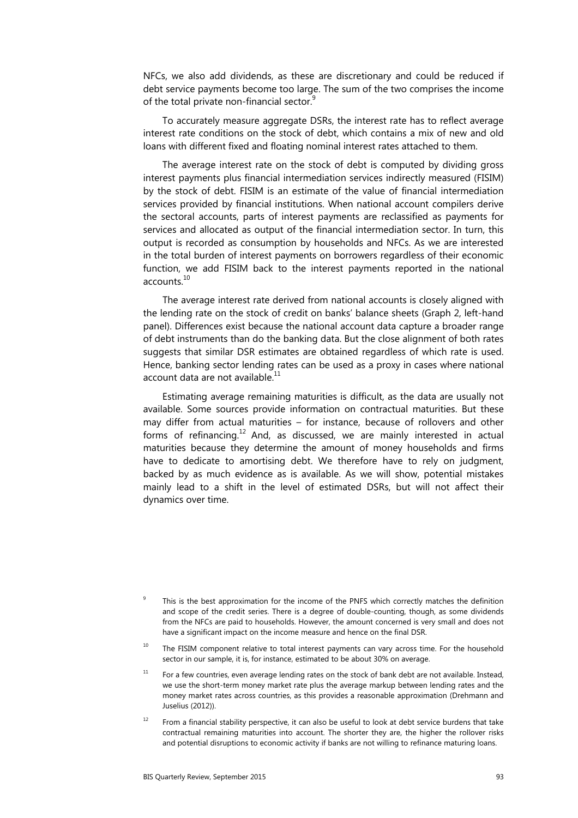<span id="page-4-4"></span>NFCs, we also add dividends, as these are discretionary and could be reduced if debt service payments become too large. The sum of the two comprises the income of the total private non-financial sector.<sup>[9](#page-4-3)</sup>

To accurately measure aggregate DSRs, the interest rate has to reflect average interest rate conditions on the stock of debt, which contains a mix of new and old loans with different fixed and floating nominal interest rates attached to them.

The average interest rate on the stock of debt is computed by dividing gross interest payments plus financial intermediation services indirectly measured (FISIM) by the stock of debt. FISIM is an estimate of the value of financial intermediation services provided by financial institutions. When national account compilers derive the sectoral accounts, parts of interest payments are reclassified as payments for services and allocated as output of the financial intermediation sector. In turn, this output is recorded as consumption by households and NFCs. As we are interested in the total burden of interest payments on borrowers regardless of their economic function, we add FISIM back to the interest payments reported in the national accounts<sup>[10](#page-4-2)</sup>

The average interest rate derived from national accounts is closely aligned with the lending rate on the stock of credit on banks' balance sheets (Graph 2, left-hand panel). Differences exist because the national account data capture a broader range of debt instruments than do the banking data. But the close alignment of both rates suggests that similar DSR estimates are obtained regardless of which rate is used. Hence, banking sector lending rates can be used as a proxy in cases where national account data are not available.<sup>[11](#page-4-1)</sup>

Estimating average remaining maturities is difficult, as the data are usually not available. Some sources provide information on contractual maturities. But these may differ from actual maturities – for instance, because of rollovers and other forms of refinancing.<sup>12</sup> And, as discussed, we are mainly interested in actual maturities because they determine the amount of money households and firms have to dedicate to amortising debt. We therefore have to rely on judgment, backed by as much evidence as is available. As we will show, potential mistakes mainly lead to a shift in the level of estimated DSRs, but will not affect their dynamics over time.

- <span id="page-4-3"></span>This is the best approximation for the income of the PNFS which correctly matches the definition and scope of the credit series. There is a degree of double-counting, though, as some dividends from the NFCs are paid to households. However, the amount concerned is very small and does not have a significant impact on the income measure and hence on the final DSR.
- <span id="page-4-2"></span><sup>10</sup> The FISIM component relative to total interest payments can vary across time. For the household sector in our sample, it is, for instance, estimated to be about 30% on average.
- <span id="page-4-1"></span> $11$  For a few countries, even average lending rates on the stock of bank debt are not available. Instead, we use the short-term money market rate plus the average markup between lending rates and the money market rates across countries, as this provides a reasonable approximation (Drehmann and Juselius (2012)).
- <span id="page-4-0"></span> $12$  From a financial stability perspective, it can also be useful to look at debt service burdens that take contractual remaining maturities into account. The shorter they are, the higher the rollover risks and potential disruptions to economic activity if banks are not willing to refinance maturing loans.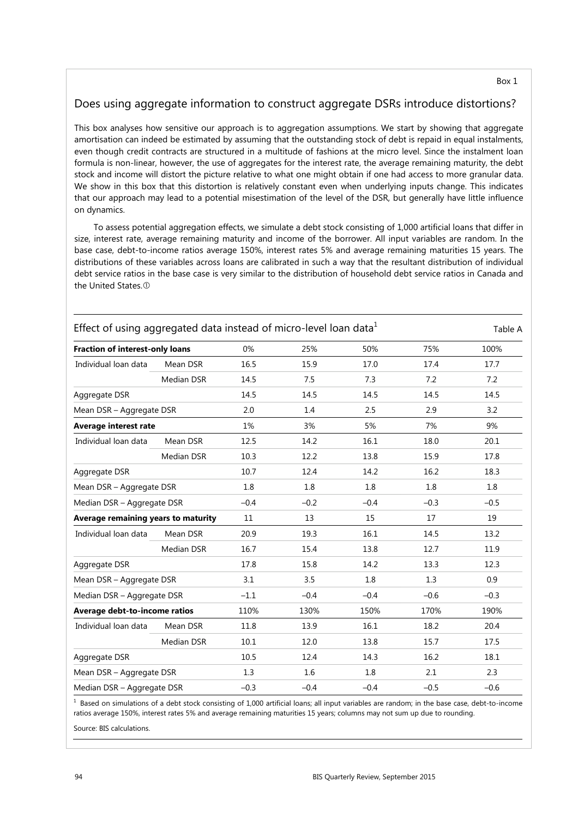# <span id="page-5-0"></span>Does using aggregate information to construct aggregate DSRs introduce distortions?

Box 1

This box analyses how sensitive our approach is to aggregation assumptions. We start by showing that aggregate amortisation can indeed be estimated by assuming that the outstanding stock of debt is repaid in equal instalments, even though credit contracts are structured in a multitude of fashions at the micro level. Since the instalment loan formula is non-linear, however, the use of aggregates for the interest rate, the average remaining maturity, the debt stock and income will distort the picture relative to what one might obtain if one had access to more granular data. We show in this box that this distortion is relatively constant even when underlying inputs change. This indicates that our approach may lead to a potential misestimation of the level of the DSR, but generally have little influence on dynamics.

To assess potential aggregation effects, we simulate a debt stock consisting of 1,000 artificial loans that differ in size, interest rate, average remaining maturity and income of the borrower. All input variables are random. In the base case, debt-to-income ratios average 150%, interest rates 5% and average remaining maturities 15 years. The distributions of these variables across loans are calibrated in such a way that the resultant distribution of individual debt service ratios in the base case is very similar to the distribution of household debt service ratios in Canada and the United States.

| Effect of using aggregated data instead of micro-level loan data $1$ |            |        |        |        |        | Table A |
|----------------------------------------------------------------------|------------|--------|--------|--------|--------|---------|
| Fraction of interest-only loans                                      |            | 0%     | 25%    | 50%    | 75%    | 100%    |
| Individual loan data                                                 | Mean DSR   | 16.5   | 15.9   | 17.0   | 17.4   | 17.7    |
|                                                                      | Median DSR | 14.5   | 7.5    | 7.3    | 7.2    | 7.2     |
| Aggregate DSR                                                        |            | 14.5   | 14.5   | 14.5   | 14.5   | 14.5    |
| Mean DSR - Aggregate DSR                                             |            | 2.0    | 1.4    | 2.5    | 2.9    | 3.2     |
| <b>Average interest rate</b>                                         |            | 1%     | 3%     | 5%     | 7%     | 9%      |
| Individual loan data                                                 | Mean DSR   | 12.5   | 14.2   | 16.1   | 18.0   | 20.1    |
|                                                                      | Median DSR | 10.3   | 12.2   | 13.8   | 15.9   | 17.8    |
| Aggregate DSR                                                        |            | 10.7   | 12.4   | 14.2   | 16.2   | 18.3    |
| Mean DSR - Aggregate DSR                                             |            | 1.8    | 1.8    | 1.8    | 1.8    | 1.8     |
| Median DSR - Aggregate DSR                                           |            | $-0.4$ | $-0.2$ | $-0.4$ | $-0.3$ | $-0.5$  |
| Average remaining years to maturity                                  |            | 11     | 13     | 15     | 17     | 19      |
| Individual loan data                                                 | Mean DSR   | 20.9   | 19.3   | 16.1   | 14.5   | 13.2    |
|                                                                      | Median DSR | 16.7   | 15.4   | 13.8   | 12.7   | 11.9    |
| Aggregate DSR                                                        |            | 17.8   | 15.8   | 14.2   | 13.3   | 12.3    |
| Mean DSR - Aggregate DSR                                             |            | 3.1    | 3.5    | 1.8    | 1.3    | 0.9     |
| Median DSR - Aggregate DSR                                           |            | $-1.1$ | $-0.4$ | $-0.4$ | $-0.6$ | $-0.3$  |
| Average debt-to-income ratios                                        |            | 110%   | 130%   | 150%   | 170%   | 190%    |
| Individual loan data                                                 | Mean DSR   | 11.8   | 13.9   | 16.1   | 18.2   | 20.4    |
|                                                                      | Median DSR | 10.1   | 12.0   | 13.8   | 15.7   | 17.5    |
| Aggregate DSR                                                        |            | 10.5   | 12.4   | 14.3   | 16.2   | 18.1    |
| Mean DSR - Aggregate DSR                                             |            | 1.3    | 1.6    | 1.8    | 2.1    | 2.3     |
| Median DSR - Aggregate DSR                                           |            | $-0.3$ | $-0.4$ | $-0.4$ | $-0.5$ | $-0.6$  |

<sup>1</sup> Based on simulations of a debt stock consisting of 1,000 artificial loans; all input variables are random; in the base case, debt-to-income ratios average 150%, interest rates 5% and average remaining maturities 15 years; columns may not sum up due to rounding.

Source: BIS calculations.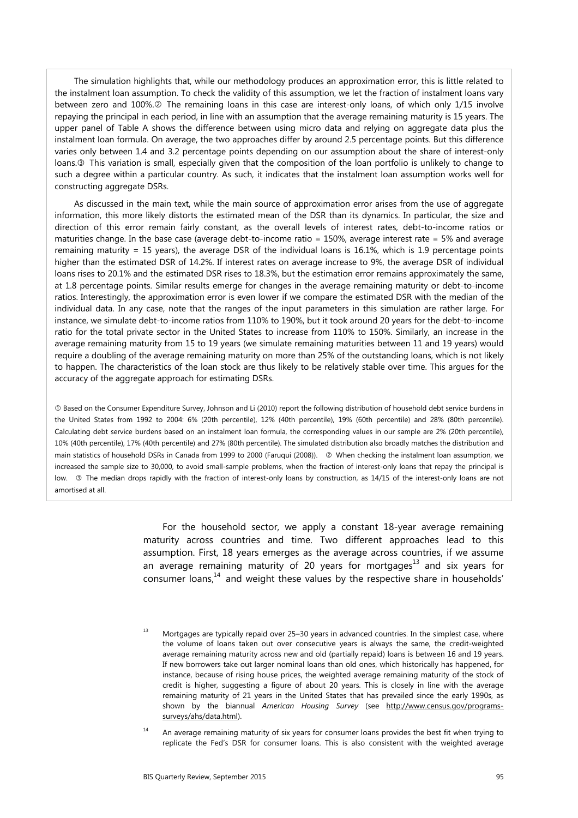<span id="page-6-2"></span>The simulation highlights that, while our methodology produces an approximation error, this is little related to the instalment loan assumption. To check the validity of this assumption, we let the fraction of instalment loans vary between zero and [100](#page-11-0)%.<sup>®</sup> The remaining loans in this case are interest-only loans, of which only 1/15 involve repaying the principal in each period, in line with an assumption that the average remaining maturity is 15 years. The upper panel of Table A shows the difference between using micro data and relying on aggregate data plus the instalment loan formula. On average, the two approaches differ by around 2.5 percentage points. But this difference varies only between 1.4 and 3.2 percentage points depending on our assumption about the share of interest-only loans.<sup>®</sup> This variation is small, especially given that the composition of the loan portfolio is unlikely to change to such a degree within a particular country. As such, it indicates that the instalment loan assumption works well for constructing aggregate DSRs.

As discussed in the main text, while the main source of approximation error arises from the use of aggregate information, this more likely distorts the estimated mean of the DSR than its dynamics. In particular, the size and direction of this error remain fairly constant, as the overall levels of interest rates, debt-to-income ratios or maturities change. In the base case (average debt-to-income ratio = 150%, average interest rate = 5% and average remaining maturity = 15 years), the average DSR of the individual loans is 16.1%, which is 1.9 percentage points higher than the estimated DSR of 14.2%. If interest rates on average increase to 9%, the average DSR of individual loans rises to 20.1% and the estimated DSR rises to 18.3%, but the estimation error remains approximately the same, at 1.8 percentage points. Similar results emerge for changes in the average remaining maturity or debt-to-income ratios. Interestingly, the approximation error is even lower if we compare the estimated DSR with the median of the individual data. In any case, note that the ranges of the input parameters in this simulation are rather large. For instance, we simulate debt-to-income ratios from 110% to 190%, but it took around 20 years for the debt-to-income ratio for the total private sector in the United States to increase from 110% to 150%. Similarly, an increase in the average remaining maturity from 15 to 19 years (we simulate remaining maturities between 11 and 19 years) would require a doubling of the average remaining maturity on more than 25% of the outstanding loans, which is not likely to happen. The characteristics of the loan stock are thus likely to be relatively stable over time. This argues for the accuracy of the aggregate approach for estimating DSRs.

 Based on the Consumer Expenditure Survey, Johnson and Li (2010) report the following distribution of household debt service burdens in the United States from 1992 to 2004: 6% (20th percentile), 12% (40th percentile), 19% (60th percentile) and 28% (80th percentile). Calculating debt service burdens based on an instalment loan formula, the corresponding values in our sample are 2% (20th percentile), 10% (40th percentile), 17% (40th percentile) and 27% (80th percentile). The simulated distribution also broadly matches the distribution and main statistics of household DSRs in Canada from 1999 to 2000 (Faruqui (2008)). © When checking the instalment loan assumption, we increased the sample size to 30,000, to avoid small-sample problems, when the fraction of interest-only loans that repay the principal is low. <sup>3</sup> The median drops rapidly with the fraction of interest-only loans by construction, as 14/15 of the interest-only loans are not amortised at all.

> For the household sector, we apply a constant 18-year average remaining maturity across countries and time. Two different approaches lead to this assumption. First, 18 years emerges as the average across countries, if we assume an average remaining maturity of 20 years for mortgages<sup>13</sup> and six years for consumer loans,<sup>14</sup> and weight these values by the respective share in households'

<span id="page-6-1"></span><sup>&</sup>lt;sup>13</sup> Mortgages are typically repaid over 25–30 years in advanced countries. In the simplest case, where the volume of loans taken out over consecutive years is always the same, the credit-weighted average remaining maturity across new and old (partially repaid) loans is between 16 and 19 years. If new borrowers take out larger nominal loans than old ones, which historically has happened, for instance, because of rising house prices, the weighted average remaining maturity of the stock of credit is higher, suggesting a figure of about 20 years. This is closely in line with the average remaining maturity of 21 years in the United States that has prevailed since the early 1990s, as shown by the biannual *American Housing Survey* (see [http://www.census.gov/programs](http://www.census.gov/programs-surveys/ahs/data.html)[surveys/ahs/data.html\)](http://www.census.gov/programs-surveys/ahs/data.html).

<span id="page-6-0"></span><sup>&</sup>lt;sup>14</sup> An average remaining maturity of six years for consumer loans provides the best fit when trying to replicate the Fed's DSR for consumer loans. This is also consistent with the weighted average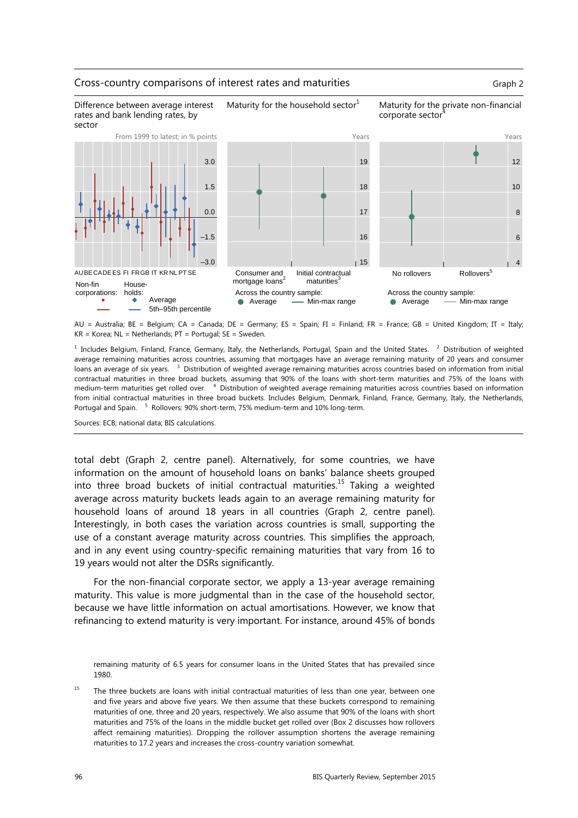#### <span id="page-7-1"></span>Cross-country comparisons of interest rates and maturities Graph 2 Graph 2

Difference between average interest rates and bank lending rates, by sector

Maturity for the household sector $1$ 

 Maturity for the private non-financial corporate sector



AU = Australia; BE = Belgium; CA = Canada; DE = Germany; ES = Spain; FI = Finland; FR = France; GB = United Kingdom; IT = Italy; KR = Korea; NL = Netherlands; PT = Portugal; SE = Sweden.

<sup>1</sup> Includes Belgium, Finland, France, Germany, Italy, the Netherlands, Portugal, Spain and the United States. <sup>2</sup> Distribution of weighted average remaining maturities across countries, assuming that mortgages have an average remaining maturity of 20 years and consumer loans an average of six years. <sup>3</sup> Distribution of weighted average remaining maturities across countries based on information from initial contractual maturities in three broad buckets, assuming that [90](#page-1-4)% of the loans with short-term maturities and 75% of the loans with medium-term maturities get rolled over. <sup>4</sup> Distribution of weighted average remaining maturities across countries based on information from initial contractual maturities in three broad buckets. Includes Belgium, Denmark, Finland, France, Germany, Italy, the Netherlands, Portugal and Spain. <sup>5</sup> Rollovers: [90%](#page-1-4) short-term, 75% medium-term and 10% long-term.

Sources: ECB; national data; BIS calculations.

total debt (Graph 2, centre panel). Alternatively, for some countries, we have information on the amount of household loans on banks' balance sheets grouped into three broad buckets of initial contractual maturities.<sup>15</sup> Taking a weighted average across maturity buckets leads again to an average remaining maturity for household loans of around 18 years in all countries (Graph 2, centre panel). Interestingly, in both cases the variation across countries is small, supporting the use of a constant average maturity across countries. This simplifies the approach, and in any event using country-specific remaining maturities that vary from 16 to 19 years would not alter the DSRs significantly.

For the non-financial corporate sector, we apply a 13-year average remaining maturity. This value is more judgmental than in the case of the household sector, because we have little information on actual amortisations. However, we know that refinancing to extend maturity is very important. For instance, around 45% of bonds

remaining maturity of 6.5 years for consumer loans in the United States that has prevailed since 1980.

<span id="page-7-0"></span> $15$  The three buckets are loans with initial contractual maturities of less than one year, between one and five years and above five years. We then assume that these buckets correspond to remaining maturities of one, three and 20 years, respectively. We also assume that [90](#page-1-4)% of the loans with short maturities and 75% of the loans in the middle bucket get rolled over (Box 2 discusses how rollovers affect remaining maturities). Dropping the rollover assumption shortens the average remaining maturities to 17.2 years and increases the cross-country variation somewhat.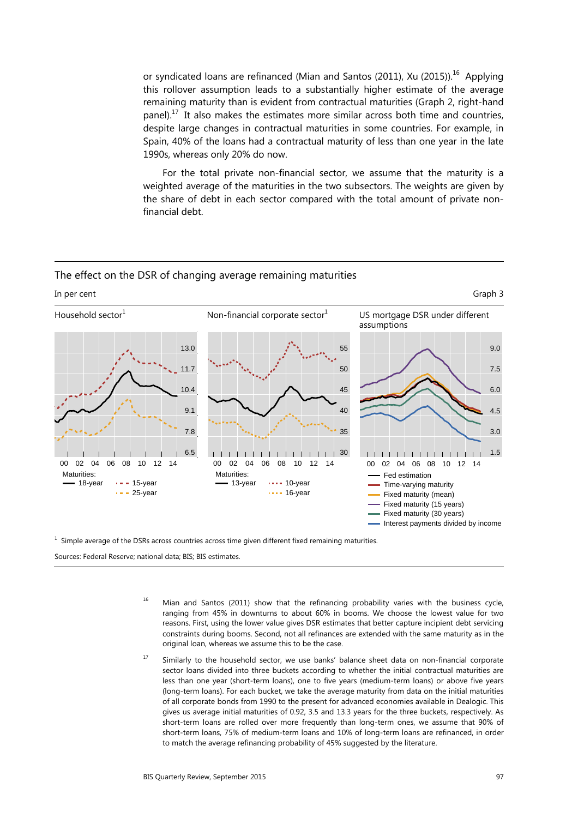<span id="page-8-2"></span>or syndicated loans are refinanced (Mian and Santos (2011), Xu (2015)).<sup>16</sup> Applying this rollover assumption leads to a substantially higher estimate of the average remaining maturity than is evident from contractual maturities (Graph 2, right-hand panel).<sup>[17](#page-8-0)</sup> It also makes the estimates more similar across both time and countries, despite large changes in contractual maturities in some countries. For example, in Spain, 40% of the loans had a contractual maturity of less than one year in the late 1990s, whereas only 20% do now.

For the total private non-financial sector, we assume that the maturity is a weighted average of the maturities in the two subsectors. The weights are given by the share of debt in each sector compared with the total amount of private nonfinancial debt.

#### The effect on the DSR of changing average remaining maturities



 $<sup>1</sup>$  Simple average of the DSRs across countries across time given different fixed remaining maturities.</sup>

<span id="page-8-1"></span><span id="page-8-0"></span>Sources: Federal Reserve; national data; BIS; BIS estimates.

- $16$  Mian and Santos (2011) show that the refinancing probability varies with the business cycle, ranging from 45% in downturns to about 60% in booms. We choose the lowest value for two reasons. First, using the lower value gives DSR estimates that better capture incipient debt servicing constraints during booms. Second, not all refinances are extended with the same maturity as in the original loan, whereas we assume this to be the case.
- Similarly to the household sector, we use banks' balance sheet data on non-financial corporate sector loans divided into three buckets according to whether the initial contractual maturities are less than one year (short-term loans), one to five years (medium-term loans) or above five years (long-term loans). For each bucket, we take the average maturity from data on the initial maturities of all corporate bonds from 1990 to the present for advanced economies available in Dealogic. This gives us average initial maturities of 0.[92](#page-3-2), 3.5 and 13.3 years for the three buckets, respectively. As short-term loans are rolled over more frequently than long-term ones, we assume that [90](#page-1-4)% of short-term loans, 75% of medium-term loans and 10% of long-term loans are refinanced, in order to match the average refinancing probability of 45% suggested by the literature.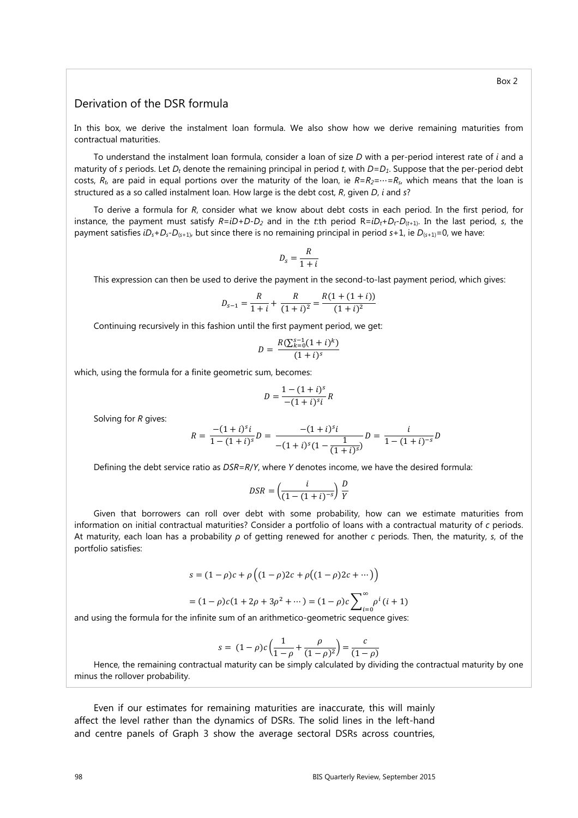# <span id="page-9-0"></span>Derivation of the DSR formula

In this box, we derive the instalment loan formula. We also show how we derive remaining maturities from contractual maturities.

To understand the instalment loan formula, consider a loan of size *D* with a per-period interest rate of *i* and a maturity of *s* periods. Let  $D_t$  denote the remaining principal in period *t*, with  $D=D_1$ . Suppose that the per-period debt costs,  $R_t$ , are paid in equal portions over the maturity of the loan, ie  $R=R_2=\cdots=R_s$ , which means that the loan is structured as a so called instalment loan. How large is the debt cost, *R*, given *D*, *i* and *s*?

To derive a formula for *R*, consider what we know about debt costs in each period. In the first period, for instance, the payment must satisfy  $R=iD+D-D<sub>2</sub>$  and in the *t*:th period  $R=iD<sub>t</sub>+D<sub>t</sub>-D<sub>(t+1)</sub>$ . In the last period, *s*, the payment satisfies  $iD_s+D_s-D_{(s+1)}$ , but since there is no remaining principal in period  $s+1$ , ie  $D_{(s+1)}=0$ , we have:

$$
D_s = \frac{R}{1+i}
$$

This expression can then be used to derive the payment in the second-to-last payment period, which gives:

$$
D_{s-1} = \frac{R}{1+i} + \frac{R}{(1+i)^2} = \frac{R(1+(1+i))}{(1+i)^2}
$$

Continuing recursively in this fashion until the first payment period, we get:

$$
D = \frac{R(\sum_{k=0}^{s-1} (1+i)^k)}{(1+i)^s}
$$

which, using the formula for a finite geometric sum, becomes:

$$
D = \frac{1 - (1 + i)^s}{-(1 + i)^s i} R
$$

Solving for *R* gives:

$$
R = \frac{-(1+i)^s i}{1 - (1+i)^s} D = \frac{-(1+i)^s i}{-(1+i)^s (1 - \frac{1}{(1+i)^s})} D = \frac{i}{1 - (1+i)^{-s}} D
$$

Defining the debt service ratio as *DSR*=*R*/*Y*, where *Y* denotes income, we have the desired formula:

$$
DSR = \left(\frac{i}{(1 - (1+i)^{-s}}\right) \frac{D}{Y}
$$

Given that borrowers can roll over debt with some probability, how can we estimate maturities from information on initial contractual maturities? Consider a portfolio of loans with a contractual maturity of *c* periods. At maturity, each loan has a probability *ρ* of getting renewed for another *c* periods. Then, the maturity, *s*, of the portfolio satisfies:

$$
s = (1 - \rho)c + \rho ((1 - \rho)2c + \rho ((1 - \rho)2c + \cdots))
$$
  
= (1 - \rho)c(1 + 2\rho + 3\rho^2 + \cdots) = (1 - \rho)c \sum\_{i=0}^{\infty} \rho^i (i + 1)

and using the formula for the infinite sum of an arithmetico-geometric sequence gives:

$$
s = (1 - \rho)c\left(\frac{1}{1 - \rho} + \frac{\rho}{(1 - \rho)^2}\right) = \frac{c}{(1 - \rho)}
$$

Hence, the remaining contractual maturity can be simply calculated by dividing the contractual maturity by one minus the rollover probability.

Even if our estimates for remaining maturities are inaccurate, this will mainly affect the level rather than the dynamics of DSRs. The solid lines in the left-hand and centre panels of Graph 3 show the average sectoral DSRs across countries,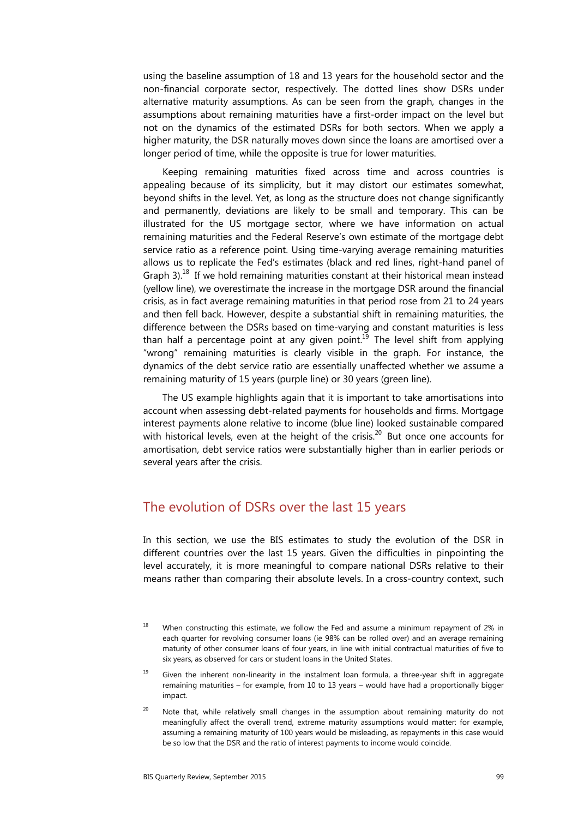<span id="page-10-3"></span>using the baseline assumption of 18 and 13 years for the household sector and the non-financial corporate sector, respectively. The dotted lines show DSRs under alternative maturity assumptions. As can be seen from the graph, changes in the assumptions about remaining maturities have a first-order impact on the level but not on the dynamics of the estimated DSRs for both sectors. When we apply a higher maturity, the DSR naturally moves down since the loans are amortised over a longer period of time, while the opposite is true for lower maturities.

Keeping remaining maturities fixed across time and across countries is appealing because of its simplicity, but it may distort our estimates somewhat, beyond shifts in the level. Yet, as long as the structure does not change significantly and permanently, deviations are likely to be small and temporary. This can be illustrated for the US mortgage sector, where we have information on actual remaining maturities and the Federal Reserve's own estimate of the mortgage debt service ratio as a reference point. Using time-varying average remaining maturities allows us to replicate the Fed's estimates (black and red lines, right-hand panel of Graph 3).<sup>18</sup> If we hold remaining maturities constant at their historical mean instead (yellow line), we overestimate the increase in the mortgage DSR around the financial crisis, as in fact average remaining maturities in that period rose from 21 to 24 years and then fell back. However, despite a substantial shift in remaining maturities, the difference between the DSRs based on time-varying and constant maturities is less than half a percentage point at any given point.<sup>19</sup> The level shift from applying "wrong" remaining maturities is clearly visible in the graph. For instance, the dynamics of the debt service ratio are essentially unaffected whether we assume a remaining maturity of 15 years (purple line) or 30 years (green line).

The US example highlights again that it is important to take amortisations into account when assessing debt-related payments for households and firms. Mortgage interest payments alone relative to income (blue line) looked sustainable compared with historical levels, even at the height of the crisis.<sup>20</sup> But once one accounts for amortisation, debt service ratios were substantially higher than in earlier periods or several years after the crisis.

# The evolution of DSRs over the last 15 years

In this section, we use the BIS estimates to study the evolution of the DSR in different countries over the last 15 years. Given the difficulties in pinpointing the level accurately, it is more meaningful to compare national DSRs relative to their means rather than comparing their absolute levels. In a cross-country context, such

- <span id="page-10-2"></span>When constructing this estimate, we follow the Fed and assume a minimum repayment of 2% in each quarter for revolving consumer loans (ie [98](#page-9-0)% can be rolled over) and an average remaining maturity of other consumer loans of four years, in line with initial contractual maturities of five to six years, as observed for cars or student loans in the United States.
- <span id="page-10-1"></span><sup>19</sup> Given the inherent non-linearity in the instalment loan formula, a three-year shift in aggregate remaining maturities – for example, from 10 to 13 years – would have had a proportionally bigger impact.
- <span id="page-10-0"></span><sup>20</sup> Note that, while relatively small changes in the assumption about remaining maturity do not meaningfully affect the overall trend, extreme maturity assumptions would matter: for example, assuming a remaining maturity of [100](#page-11-0) years would be misleading, as repayments in this case would be so low that the DSR and the ratio of interest payments to income would coincide.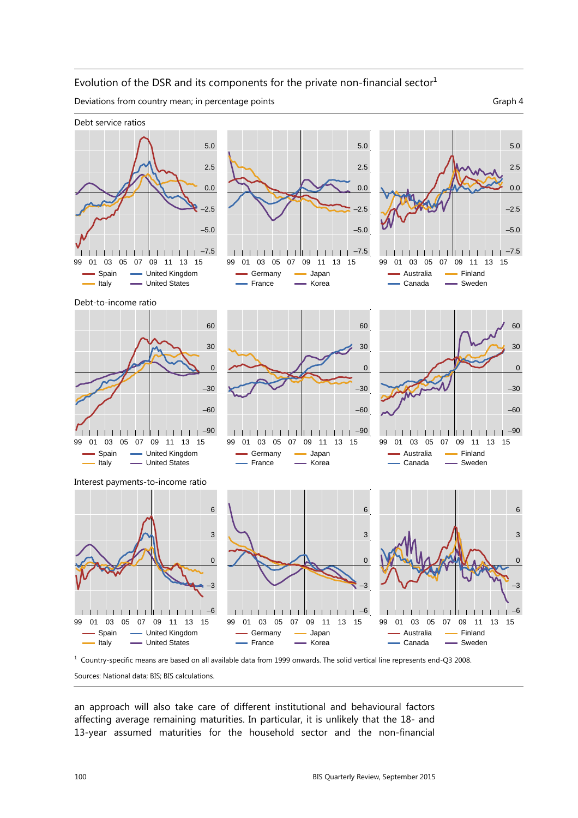#### <span id="page-11-0"></span>Evolution of the DSR and its components for the private non-financial sector $1$

Deviations from country mean; in percentage points Graph 4



 $1$  Country-specific means are based on all available data from 1999 onwards. The solid vertical line represents end-Q3 2008.

Sources: National data; BIS; BIS calculations.

an approach will also take care of different institutional and behavioural factors affecting average remaining maturities. In particular, it is unlikely that the 18- and 13-year assumed maturities for the household sector and the non-financial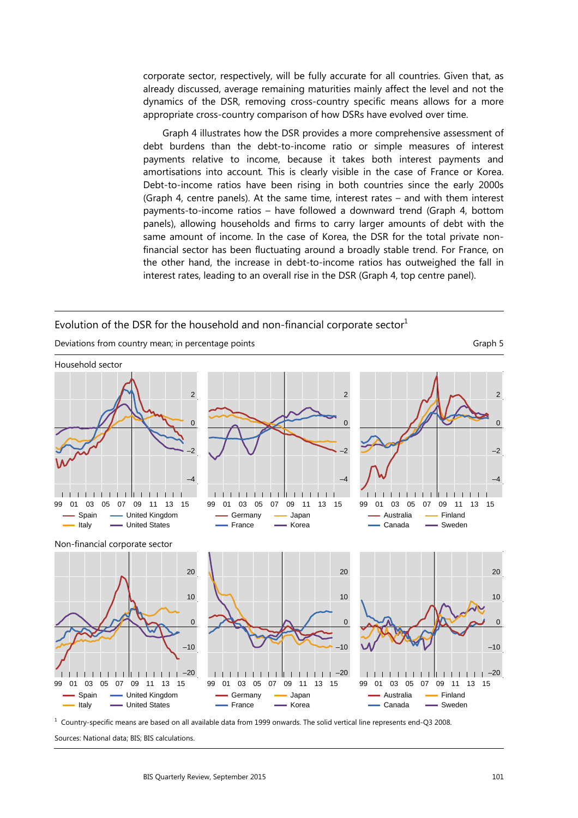<span id="page-12-0"></span>corporate sector, respectively, will be fully accurate for all countries. Given that, as already discussed, average remaining maturities mainly affect the level and not the dynamics of the DSR, removing cross-country specific means allows for a more appropriate cross-country comparison of how DSRs have evolved over time.

Graph 4 illustrates how the DSR provides a more comprehensive assessment of debt burdens than the debt-to-income ratio or simple measures of interest payments relative to income, because it takes both interest payments and amortisations into account*.* This is clearly visible in the case of France or Korea. Debt-to-income ratios have been rising in both countries since the early 2000s (Graph 4, centre panels). At the same time, interest rates – and with them interest payments-to-income ratios – have followed a downward trend (Graph 4, bottom panels), allowing households and firms to carry larger amounts of debt with the same amount of income. In the case of Korea, the DSR for the total private nonfinancial sector has been fluctuating around a broadly stable trend. For France, on the other hand, the increase in debt-to-income ratios has outweighed the fall in interest rates, leading to an overall rise in the DSR (Graph 4, top centre panel).

Evolution of the DSR for the household and non-financial corporate sector $1$ 

Deviations from country mean; in percentage points Graph 5 and Graph 5 and Graph 5 and Graph 5



 $1$  Country-specific means are based on all available data from 1999 onwards. The solid vertical line represents end-Q3 2008.

Sources: National data; BIS; BIS calculations.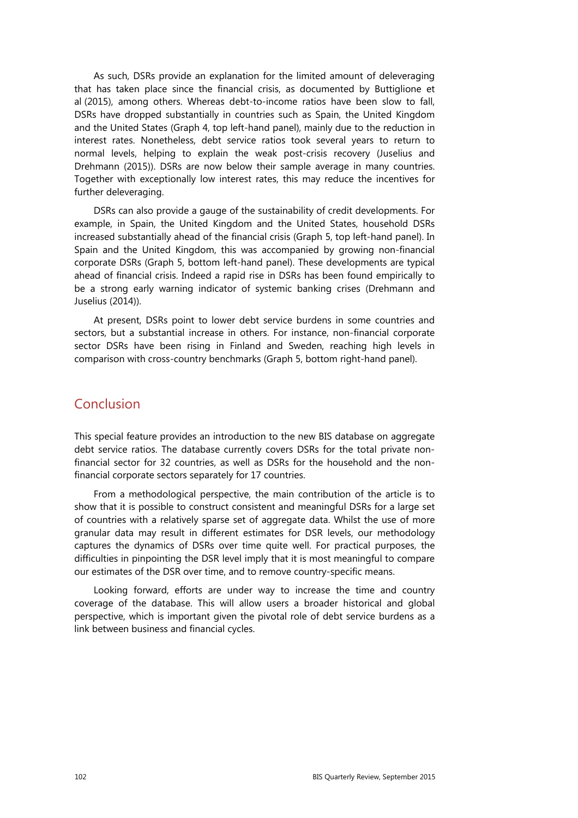<span id="page-13-0"></span>As such, DSRs provide an explanation for the limited amount of deleveraging that has taken place since the financial crisis, as documented by Buttiglione et al (2015), among others. Whereas debt-to-income ratios have been slow to fall, DSRs have dropped substantially in countries such as Spain, the United Kingdom and the United States (Graph 4, top left-hand panel), mainly due to the reduction in interest rates. Nonetheless, debt service ratios took several years to return to normal levels, helping to explain the weak post-crisis recovery (Juselius and Drehmann (2015)). DSRs are now below their sample average in many countries. Together with exceptionally low interest rates, this may reduce the incentives for further deleveraging.

DSRs can also provide a gauge of the sustainability of credit developments. For example, in Spain, the United Kingdom and the United States, household DSRs increased substantially ahead of the financial crisis (Graph 5, top left-hand panel). In Spain and the United Kingdom, this was accompanied by growing non-financial corporate DSRs (Graph 5, bottom left-hand panel). These developments are typical ahead of financial crisis. Indeed a rapid rise in DSRs has been found empirically to be a strong early warning indicator of systemic banking crises (Drehmann and Juselius (2014)).

At present, DSRs point to lower debt service burdens in some countries and sectors, but a substantial increase in others. For instance, non-financial corporate sector DSRs have been rising in Finland and Sweden, reaching high levels in comparison with cross-country benchmarks (Graph 5, bottom right-hand panel).

# Conclusion

This special feature provides an introduction to the new BIS database on aggregate debt service ratios. The database currently covers DSRs for the total private nonfinancial sector for 32 countries, as well as DSRs for the household and the nonfinancial corporate sectors separately for 17 countries.

From a methodological perspective, the main contribution of the article is to show that it is possible to construct consistent and meaningful DSRs for a large set of countries with a relatively sparse set of aggregate data. Whilst the use of more granular data may result in different estimates for DSR levels, our methodology captures the dynamics of DSRs over time quite well. For practical purposes, the difficulties in pinpointing the DSR level imply that it is most meaningful to compare our estimates of the DSR over time, and to remove country-specific means.

Looking forward, efforts are under way to increase the time and country coverage of the database. This will allow users a broader historical and global perspective, which is important given the pivotal role of debt service burdens as a link between business and financial cycles.